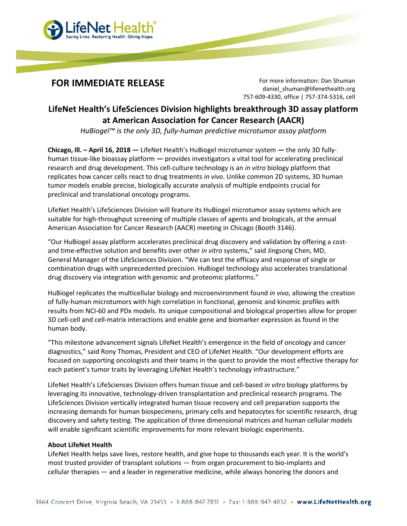

FOR IMMEDIATE RELEASE For more information: Dan Shuman daniel shuman@lifenethealth.org 757-609-4330, office | 757-374-5316, cell

## LifeNet Health's LifeSciences Division highlights breakthrough 3D assay platform at American Association for Cancer Research (AACR)

HuBiogel™ is the only 3D, fully-human predictive microtumor assay platform

Chicago, Ill. – April 16, 2018 — LifeNet Health's HuBiogel microtumor system — the only 3D fullyhuman tissue-like bioassay platform — provides investigators a vital tool for accelerating preclinical research and drug development. This cell-culture technology is an in vitro biology platform that replicates how cancer cells react to drug treatments in vivo. Unlike common 2D systems, 3D human tumor models enable precise, biologically accurate analysis of multiple endpoints crucial for preclinical and translational oncology programs.

LifeNet Health's LifeSciences Division will feature its HuBiogel microtumor assay systems which are suitable for high-throughput screening of multiple classes of agents and biologicals, at the annual American Association for Cancer Research (AACR) meeting in Chicago (Booth 3146).

"Our HuBiogel assay platform accelerates preclinical drug discovery and validation by offering a costand time-effective solution and benefits over other in vitro systems," said Jingsong Chen, MD, General Manager of the LifeSciences Division. "We can test the efficacy and response of single or combination drugs with unprecedented precision. HuBiogel technology also accelerates translational drug discovery via integration with genomic and proteomic platforms."

HuBiogel replicates the multicellular biology and microenvironment found in vivo, allowing the creation of fully-human microtumors with high correlation in functional, genomic and kinomic profiles with results from NCI-60 and PDx models. Its unique compositional and biological properties allow for proper 3D cell-cell and cell-matrix interactions and enable gene and biomarker expression as found in the human body.

"This milestone advancement signals LifeNet Health's emergence in the field of oncology and cancer diagnostics," said Rony Thomas, President and CEO of LifeNet Health. "Our development efforts are focused on supporting oncologists and their teams in the quest to provide the most effective therapy for each patient's tumor traits by leveraging LifeNet Health's technology infrastructure."

LifeNet Health's LifeSciences Division offers human tissue and cell-based in vitro biology platforms by leveraging its innovative, technology-driven transplantation and preclinical research programs. The LifeSciences Division vertically integrated human tissue recovery and cell preparation supports the increasing demands for human biospecimens, primary cells and hepatocytes for scientific research, drug discovery and safety testing. The application of three dimensional matrices and human cellular models will enable significant scientific improvements for more relevant biologic experiments.

## About LifeNet Health

LifeNet Health helps save lives, restore health, and give hope to thousands each year. It is the world's most trusted provider of transplant solutions — from organ procurement to bio-implants and cellular therapies — and a leader in regenerative medicine, while always honoring the donors and